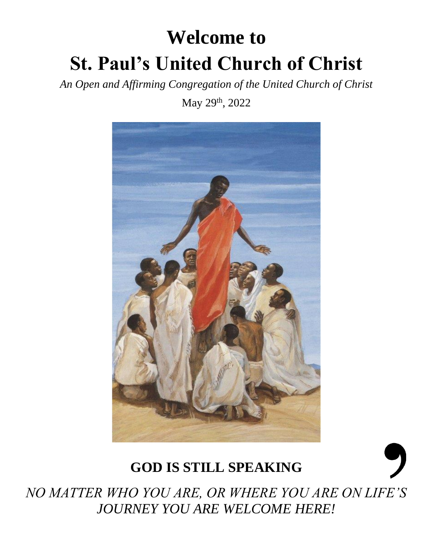# **Welcome to St. Paul's United Church of Christ**

*An Open and Affirming Congregation of the United Church of Christ*

May 29<sup>th</sup>, 2022



# **GOD IS STILL SPEAKING**



*NO MATTER WHO YOU ARE, OR WHERE YOU ARE ON LIFE'S JOURNEY YOU ARE WELCOME HERE!*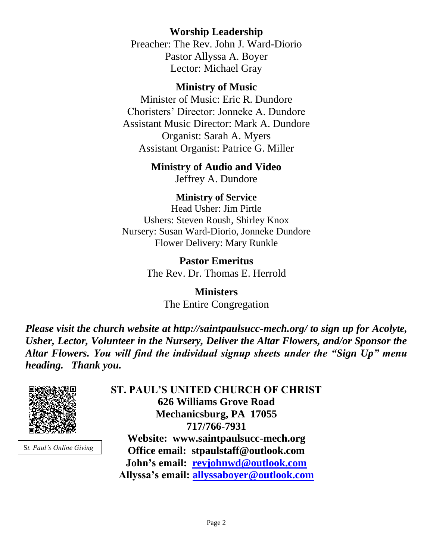# **Worship Leadership**

Preacher: The Rev. John J. Ward-Diorio Pastor Allyssa A. Boyer Lector: Michael Gray

#### **Ministry of Music**

Minister of Music: Eric R. Dundore Choristers' Director: Jonneke A. Dundore Assistant Music Director: Mark A. Dundore Organist: Sarah A. Myers Assistant Organist: Patrice G. Miller

# **Ministry of Audio and Video**

Jeffrey A. Dundore

#### **Ministry of Service**

Head Usher: Jim Pirtle Ushers: Steven Roush, Shirley Knox Nursery: Susan Ward-Diorio, Jonneke Dundore Flower Delivery: Mary Runkle

> **Pastor Emeritus** The Rev. Dr. Thomas E. Herrold

> > **Ministers** The Entire Congregation

*Please visit the church website at http://saintpaulsucc-mech.org/ to sign up for Acolyte, Usher, Lector, Volunteer in the Nursery, Deliver the Altar Flowers, and/or Sponsor the Altar Flowers. You will find the individual signup sheets under the "Sign Up" menu heading. Thank you.*



S*t. Paul's Online Giving*

**ST. PAUL'S UNITED CHURCH OF CHRIST 626 Williams Grove Road Mechanicsburg, PA 17055 717/766-7931 Website: www.saintpaulsucc-mech.org Office email: stpaulstaff@outlook.com John's email: [revjohnwd@outlook.com](mailto:revjohnwd@outlook.com) Allyssa's email: [allyssaboyer@outlook.com](mailto:allyssaboyer@outlook.com)**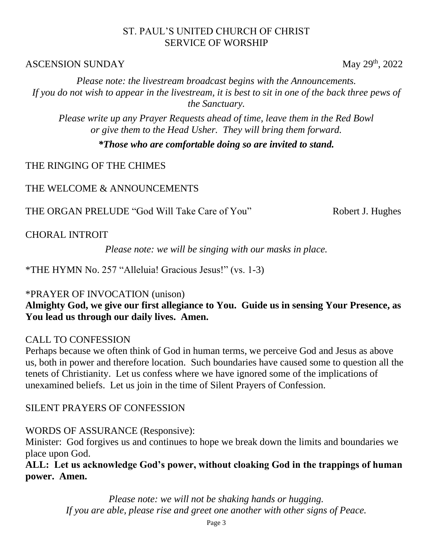#### ST. PAUL'S UNITED CHURCH OF CHRIST SERVICE OF WORSHIP

#### $\triangle$ SCENSION SUNDAY May 29<sup>th</sup>, 2022

*Please note: the livestream broadcast begins with the Announcements. If you do not wish to appear in the livestream, it is best to sit in one of the back three pews of the Sanctuary.*

*Please write up any Prayer Requests ahead of time, leave them in the Red Bowl or give them to the Head Usher. They will bring them forward.*

*\*Those who are comfortable doing so are invited to stand.*

THE RINGING OF THE CHIMES

THE WELCOME & ANNOUNCEMENTS

THE ORGAN PRELUDE "God Will Take Care of You" Robert J. Hughes

CHORAL INTROIT

*Please note: we will be singing with our masks in place.*

\*THE HYMN No. 257 "Alleluia! Gracious Jesus!" (vs. 1-3)

#### \*PRAYER OF INVOCATION (unison)

**Almighty God, we give our first allegiance to You. Guide us in sensing Your Presence, as You lead us through our daily lives. Amen.**

#### CALL TO CONFESSION

Perhaps because we often think of God in human terms, we perceive God and Jesus as above us, both in power and therefore location. Such boundaries have caused some to question all the tenets of Christianity. Let us confess where we have ignored some of the implications of unexamined beliefs. Let us join in the time of Silent Prayers of Confession.

# SILENT PRAYERS OF CONFESSION

# WORDS OF ASSURANCE (Responsive):

Minister: God forgives us and continues to hope we break down the limits and boundaries we place upon God.

**ALL: Let us acknowledge God's power, without cloaking God in the trappings of human power. Amen.**

> *Please note: we will not be shaking hands or hugging. If you are able, please rise and greet one another with other signs of Peace.*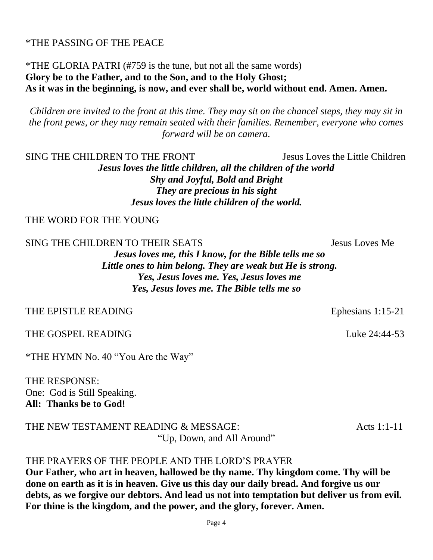#### \*THE PASSING OF THE PEACE

#### \*THE GLORIA PATRI (#759 is the tune, but not all the same words) **Glory be to the Father, and to the Son, and to the Holy Ghost; As it was in the beginning, is now, and ever shall be, world without end. Amen. Amen.**

*Children are invited to the front at this time. They may sit on the chancel steps, they may sit in the front pews, or they may remain seated with their families. Remember, everyone who comes forward will be on camera.* 

SING THE CHILDREN TO THE FRONT Jesus Loves the Little Children

*Jesus loves the little children, all the children of the world Shy and Joyful, Bold and Bright They are precious in his sight Jesus loves the little children of the world.*

THE WORD FOR THE YOUNG

SING THE CHILDREN TO THEIR SEATS Jesus Loves Me

*Jesus loves me, this I know, for the Bible tells me so Little ones to him belong. They are weak but He is strong. Yes, Jesus loves me. Yes, Jesus loves me Yes, Jesus loves me. The Bible tells me so*

#### THE EPISTLE READING Ephesians 1:15-21

THE GOSPEL READING THE GOSPEL READING

\*THE HYMN No. 40 "You Are the Way"

THE RESPONSE: One: God is Still Speaking. **All: Thanks be to God!** 

THE NEW TESTAMENT READING & MESSAGE: Acts 1:1-11 "Up, Down, and All Around"

# THE PRAYERS OF THE PEOPLE AND THE LORD'S PRAYER

**Our Father, who art in heaven, hallowed be thy name. Thy kingdom come. Thy will be done on earth as it is in heaven. Give us this day our daily bread. And forgive us our debts, as we forgive our debtors. And lead us not into temptation but deliver us from evil. For thine is the kingdom, and the power, and the glory, forever. Amen.**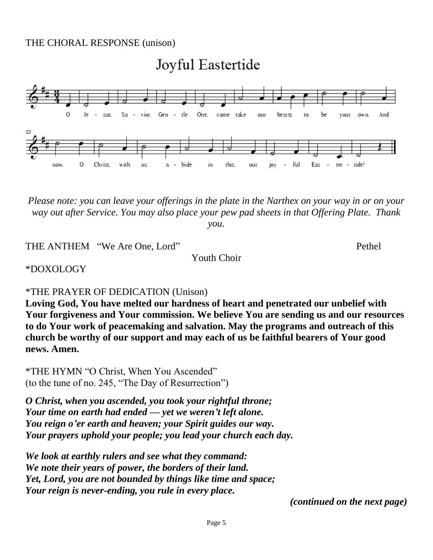#### THE CHORAL RESPONSE (unison)

# Joyful Eastertide



*Please note: you can leave your offerings in the plate in the Narthex on your way in or on your way out after Service. You may also place your pew pad sheets in that Offering Plate. Thank you.* 

THE ANTHEM "We Are One, Lord" perhel

Youth Choir

\*DOXOLOGY

\*THE PRAYER OF DEDICATION (Unison)

**Loving God, You have melted our hardness of heart and penetrated our unbelief with Your forgiveness and Your commission. We believe You are sending us and our resources to do Your work of peacemaking and salvation. May the programs and outreach of this church be worthy of our support and may each of us be faithful bearers of Your good news. Amen.** 

\*THE HYMN "O Christ, When You Ascended" (to the tune of no. 245, "The Day of Resurrection")

*O Christ, when you ascended, you took your rightful throne; Your time on earth had ended — yet we weren't left alone. You reign o'er earth and heaven; your Spirit guides our way. Your prayers uphold your people; you lead your church each day.*

*We look at earthly rulers and see what they command: We note their years of power, the borders of their land. Yet, Lord, you are not bounded by things like time and space; Your reign is never-ending, you rule in every place.*

*(continued on the next page)*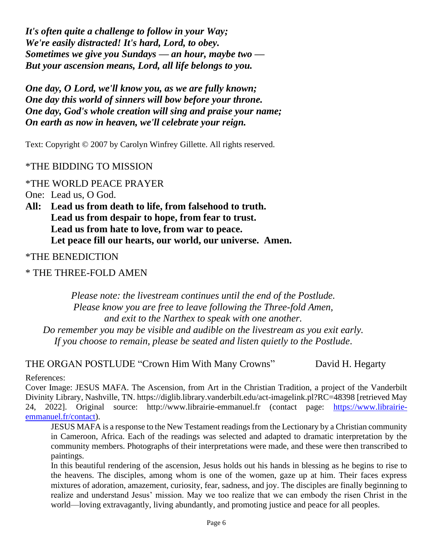*It's often quite a challenge to follow in your Way; We're easily distracted! It's hard, Lord, to obey. Sometimes we give you Sundays — an hour, maybe two — But your ascension means, Lord, all life belongs to you.*

*One day, O Lord, we'll know you, as we are fully known; One day this world of sinners will bow before your throne. One day, God's whole creation will sing and praise your name; On earth as now in heaven, we'll celebrate your reign.*

Text: Copyright © 2007 by Carolyn Winfrey Gillette. All rights reserved.

#### \*THE BIDDING TO MISSION

#### \*THE WORLD PEACE PRAYER

One: Lead us, O God.

**All: Lead us from death to life, from falsehood to truth. Lead us from despair to hope, from fear to trust. Lead us from hate to love, from war to peace. Let peace fill our hearts, our world, our universe. Amen.**

\*THE BENEDICTION

\* THE THREE-FOLD AMEN

*Please note: the livestream continues until the end of the Postlude. Please know you are free to leave following the Three-fold Amen, and exit to the Narthex to speak with one another. Do remember you may be visible and audible on the livestream as you exit early. If you choose to remain, please be seated and listen quietly to the Postlude.*

THE ORGAN POSTLUDE "Crown Him With Many Crowns" David H. Hegarty

References:

Cover Image: JESUS MAFA. The Ascension, from Art in the Christian Tradition, a project of the Vanderbilt Divinity Library, Nashville, TN. https://diglib.library.vanderbilt.edu/act-imagelink.pl?RC=48398 [retrieved May 24, 2022]. Original source: http://www.librairie-emmanuel.fr (contact page: [https://www.librairie](https://www.librairie-emmanuel.fr/contact)[emmanuel.fr/contact\)](https://www.librairie-emmanuel.fr/contact).

JESUS MAFA is a response to the New Testament readings from the Lectionary by a Christian community in Cameroon, Africa. Each of the readings was selected and adapted to dramatic interpretation by the community members. Photographs of their interpretations were made, and these were then transcribed to paintings.

In this beautiful rendering of the ascension, Jesus holds out his hands in blessing as he begins to rise to the heavens. The disciples, among whom is one of the women, gaze up at him. Their faces express mixtures of adoration, amazement, curiosity, fear, sadness, and joy. The disciples are finally beginning to realize and understand Jesus' mission. May we too realize that we can embody the risen Christ in the world—loving extravagantly, living abundantly, and promoting justice and peace for all peoples.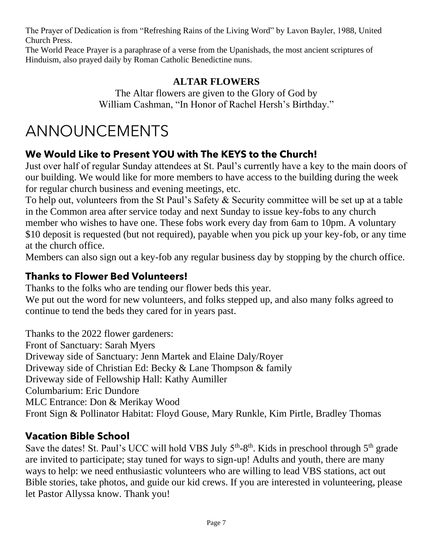The Prayer of Dedication is from "Refreshing Rains of the Living Word" by Lavon Bayler, 1988, United Church Press.

The World Peace Prayer is a paraphrase of a verse from the Upanishads, the most ancient scriptures of Hinduism, also prayed daily by Roman Catholic Benedictine nuns.

# **ALTAR FLOWERS**

The Altar flowers are given to the Glory of God by William Cashman, "In Honor of Rachel Hersh's Birthday."

# ANNOUNCEMENTS

# **We Would Like to Present YOU with The KEYS to the Church!**

Just over half of regular Sunday attendees at St. Paul's currently have a key to the main doors of our building. We would like for more members to have access to the building during the week for regular church business and evening meetings, etc.

To help out, volunteers from the St Paul's Safety & Security committee will be set up at a table in the Common area after service today and next Sunday to issue key-fobs to any church member who wishes to have one. These fobs work every day from 6am to 10pm. A voluntary \$10 deposit is requested (but not required), payable when you pick up your key-fob, or any time at the church office.

Members can also sign out a key-fob any regular business day by stopping by the church office.

# **Thanks to Flower Bed Volunteers!**

Thanks to the folks who are tending our flower beds this year.

We put out the word for new volunteers, and folks stepped up, and also many folks agreed to continue to tend the beds they cared for in years past.

Thanks to the 2022 flower gardeners: Front of Sanctuary: Sarah Myers Driveway side of Sanctuary: Jenn Martek and Elaine Daly/Royer Driveway side of Christian Ed: Becky & Lane Thompson & family Driveway side of Fellowship Hall: Kathy Aumiller Columbarium: Eric Dundore MLC Entrance: Don & Merikay Wood Front Sign & Pollinator Habitat: Floyd Gouse, Mary Runkle, Kim Pirtle, Bradley Thomas

# **Vacation Bible School**

Save the dates! St. Paul's UCC will hold VBS July  $5<sup>th</sup>-8<sup>th</sup>$ . Kids in preschool through  $5<sup>th</sup>$  grade are invited to participate; stay tuned for ways to sign-up! Adults and youth, there are many ways to help: we need enthusiastic volunteers who are willing to lead VBS stations, act out Bible stories, take photos, and guide our kid crews. If you are interested in volunteering, please let Pastor Allyssa know. Thank you!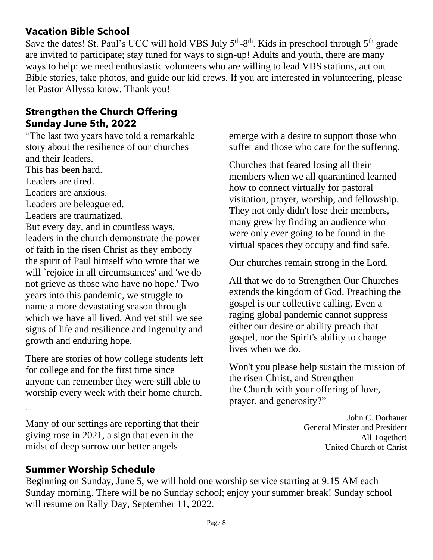# **Vacation Bible School**

Save the dates! St. Paul's UCC will hold VBS July  $5<sup>th</sup>-8<sup>th</sup>$ . Kids in preschool through  $5<sup>th</sup>$  grade are invited to participate; stay tuned for ways to sign-up! Adults and youth, there are many ways to help: we need enthusiastic volunteers who are willing to lead VBS stations, act out Bible stories, take photos, and guide our kid crews. If you are interested in volunteering, please let Pastor Allyssa know. Thank you!

### **Strengthen the Church Offering Sunday June 5th, 2022**

"The last two years have told a remarkable story about the resilience of our churches and their leaders.

This has been hard.

Leaders are tired.

Leaders are anxious.

Leaders are beleaguered.

Leaders are traumatized.

But every day, and in countless ways, leaders in the church demonstrate the power of faith in the risen Christ as they embody the spirit of Paul himself who wrote that we will `rejoice in all circumstances' and 'we do not grieve as those who have no hope.' Two years into this pandemic, we struggle to name a more devastating season through which we have all lived. And yet still we see signs of life and resilience and ingenuity and growth and enduring hope.

There are stories of how college students left for college and for the first time since anyone can remember they were still able to worship every week with their home church.

Many of our settings are reporting that their giving rose in 2021, a sign that even in the midst of deep sorrow our better angels

emerge with a desire to support those who suffer and those who care for the suffering.

Churches that feared losing all their members when we all quarantined learned how to connect virtually for pastoral visitation, prayer, worship, and fellowship. They not only didn't lose their members, many grew by finding an audience who were only ever going to be found in the virtual spaces they occupy and find safe.

Our churches remain strong in the Lord.

All that we do to Strengthen Our Churches extends the kingdom of God. Preaching the gospel is our collective calling. Even a raging global pandemic cannot suppress either our desire or ability preach that gospel, nor the Spirit's ability to change lives when we do.

Won't you please help sustain the mission of the risen Christ, and Strengthen the Church with your offering of love, prayer, and generosity?"

> John C. Dorhauer General Minster and President All Together! United Church of Christ

# **Summer Worship Schedule**

…

Beginning on Sunday, June 5, we will hold one worship service starting at 9:15 AM each Sunday morning. There will be no Sunday school; enjoy your summer break! Sunday school will resume on Rally Day, September 11, 2022.